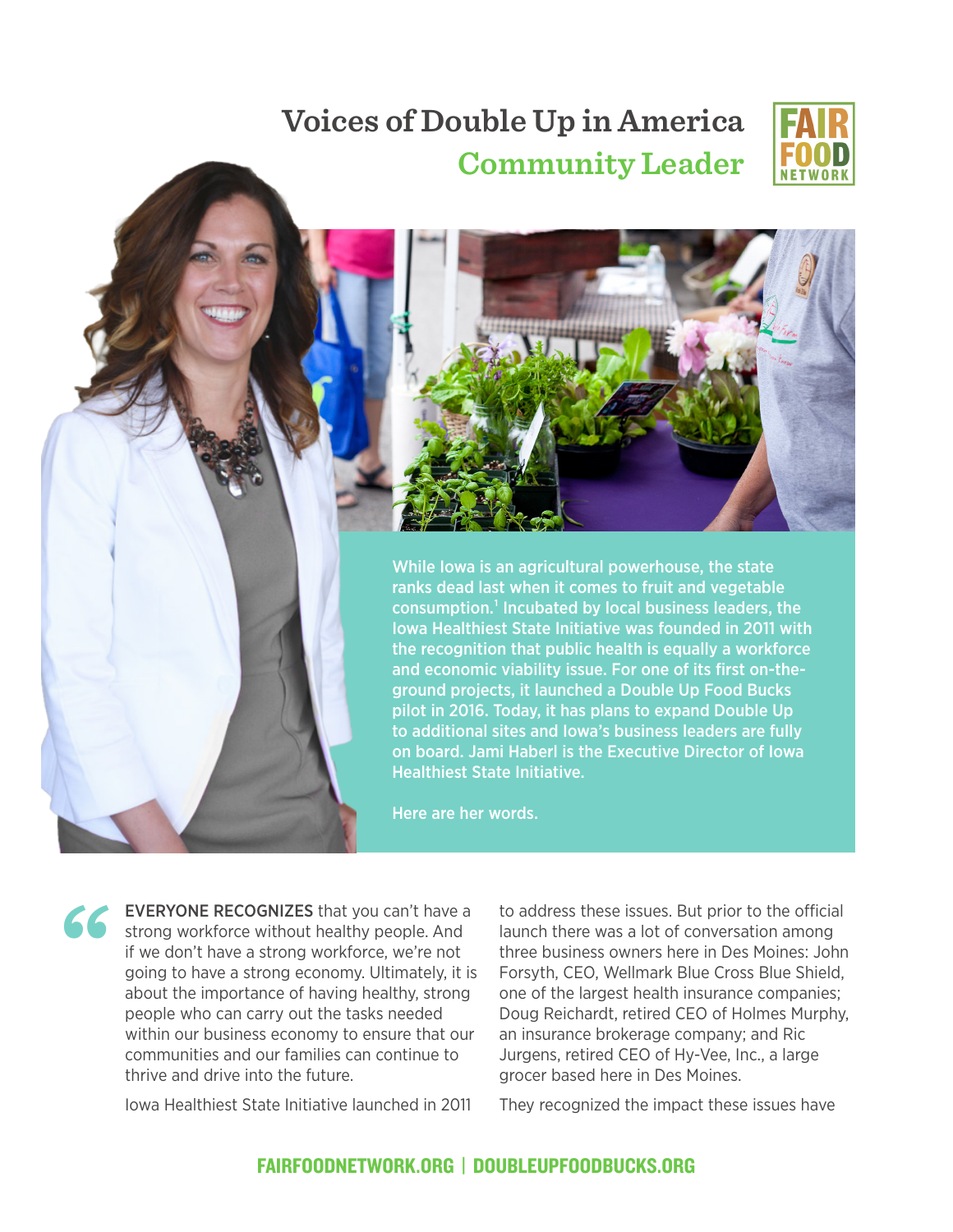## **Voices of Double Up in America Community Leader**





While Iowa is an agricultural powerhouse, the state ranks dead last when it comes to fruit and vegetable consumption.<sup>1</sup> Incubated by local business leaders, the Iowa Healthiest State Initiative was founded in 2011 with the recognition that public health is equally a workforce and economic viability issue. For one of its first on-theground projects, it launched a Double Up Food Bucks pilot in 2016. Today, it has plans to expand Double Up to additional sites and Iowa's business leaders are fully on board. Jami Haberl is the Executive Director of Iowa Healthiest State Initiative.

Here are her words.

**"** EVERYONE RECOGNIZES that you can't have a strong workforce without healthy people. And if we don't have a strong workforce, we're not going to have a strong economy. Ultimately, it is about the importance of having healthy, strong people who can carry out the tasks needed within our business economy to ensure that our communities and our families can continue to thrive and drive into the future.

Iowa Healthiest State Initiative launched in 2011

to address these issues. But prior to the official launch there was a lot of conversation among three business owners here in Des Moines: John Forsyth, CEO, Wellmark Blue Cross Blue Shield, one of the largest health insurance companies; Doug Reichardt, retired CEO of Holmes Murphy, an insurance brokerage company; and Ric Jurgens, retired CEO of Hy-Vee, Inc., a large grocer based here in Des Moines.

They recognized the impact these issues have